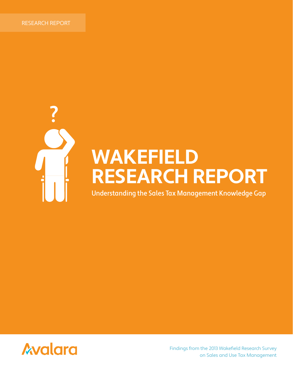

# **WAKEFIELD RESEARCH REPORT**

Understanding the Sales Tax Management Knowledge Gap



Findings from the 2013 Wakefield Research Survey on Sales and Use Tax Management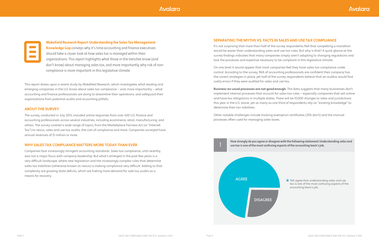**How strongly do you agree or disagree with the following statement: Understanding sales and** 

### **SEPARATING THE MYTHS VS. FACTS IN SALES AND USE TAX COMPLIANCE**

It's not surprising that more than half of the survey respondents feel that completing a marathon would be easier than understanding sales and use tax rules. But why is that? A quick glance at the survey findings indicates that many companies simply aren't adapting to changing regulations and lack the processes and expertise necessary to be compliant in this legislative climate.

On one level it would appear that most companies feel they have sales tax compliance under control. According to the survey, 96% of accounting professionals are confident their company has the correct strategies in place; yet half of the survey respondents believe that an auditor would find costly errors if they were audited for sales and use tax.

**Business-as-usual processes are not good enough**. The data suggests that many businesses don't implement internal processes that account for sales tax rules — especially companies that sell online and have tax obligations in multiple states. There will be 10,000 changes to rates and jurisdictions this year in the U.S. alone, yet as many as one third of respondents rely on "existing knowledge" to determine their tax liabilities.

Other notable challenges include tracking exemption certificates (25% don't) and the manual processes often used for managing sales taxes.

> ■ 76% agree that understanding sales and use tax is one of the most confusing aspects of the accounting team's job.





This report draws upon a recent study by Wakefield Research, which investigates what leading and emerging companies in the U.S. know about sales tax compliance - and, more importantly - what accounting and finance professionals are doing to streamline their operations, and safeguard their organizations from potential audits and accounting pitfalls.

#### **ABOUT THE SURVEY**

The survey, conducted in July 2013, included online responses from over 400 U.S. finance and accounting professionals across several industries, including ecommerce, retail, manufacturing, and others. The survey covered a wide range of topics, from the Marketplace Fairness Act (or "Internet Tax") to nexus, sales and use tax audits, the cost of compliance and more. Companies surveyed have annual revenues of \$1 million or more.

### **WHY SALES TAX COMPLIANCE MATTERS MORE TODAY THAN EVER**

Companies face increasingly stringent accounting standards. Sales tax compliance, until recently, was not a major focus with company leadership. But what's emerged in the past few years is a very difficult landscape, where new legislation and the increasingly complex rules that determine sales tax liabilities (otherwise known as nexus) is making compliance very difficult. Adding to that complexity are growing state deficits, which are fueling more demand for sale tax audits as a means for recovery.

### *Avalara*



**Wakefield Research Report: Understanding the Sales Tax Management** 

**Knowledge Gap** conveys why it's time accounting and finance executives should take a closer look at how sales tax is managed within their organizations. This report highlights what those in the trenches know (and don't know) about managing sales tax, and more importantly, why risk of noncompliance is more important in this legislative climate.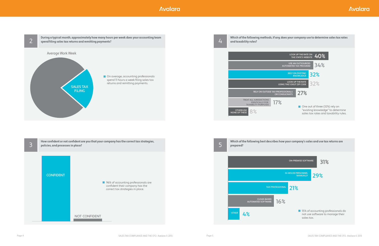

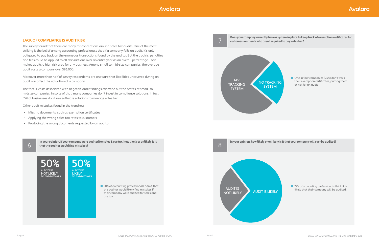### **LACK OF COMPLIANCE IS AUDIT RISK**

The survey found that there are many misconceptions around sales tax audits. One of the most striking is the belief among accounting professionals that if a company fails an audit, it's only obligated to pay back on the erroneous transactions found by the auditor. But the truth is, penalties and fees could be applied to all transactions over an entire year as an overall percentage. That makes audits a high risk area for any business. Among small to mid-size companies, the average audit costs a company over \$96,000.

Moreover, more than half of survey respondents are unaware that liabilities uncovered during an audit can affect the valuation of a company.

The fact is, costs associated with negative audit findings can wipe out the profits of small- to midsize companies. In spite of that, many companies don't invest in compliance solutions. In fact, 55% of businesses don't use software solutions to manage sales tax.

Other audit mistakes found in the trenches:

- Missing documents, such as exemption certificates
- Applying the wrong sales tax rates to customers
- Producing the wrong documents requested by an auditor

■ One in four companies (24%) don't track their exemption certificates, putting them at risk for an audit.

■ 72% of accounting professionals think it is likely that their company will be audited.

**In your opinion, if your company were audited for sales & use tax, how likely or unlikely is it that the auditor would find mistakes?**

**Does your company currently have a system in place to keep track of exemption certificates for** 

**In your opinion, how likely or unlikely is it that your company will ever be audited?**



50% 50%

AUDITOR IS NOT LIKELY TO FIND MISTAKES AUDITOR IS **LIKELY** TO FIND MISTAKES







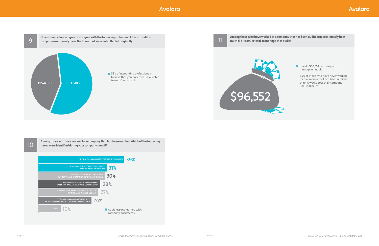**Among those who have worked for a company that has been audited: Which of the following issues were identified during your company's audit?**

10

## **Avalara**





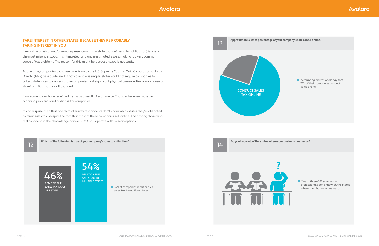### **TAKE INTEREST IN OTHER STATES, BECAUSE THEY'RE PROBABLY TAKING INTEREST IN YOU**

Nexus (the physical and/or remote presence within a state that defines a tax obligation) is one of the most misunderstood, misinterpreted, and underestimated issues, making it a very common cause of tax problems. The reason for this might be because nexus is not static.

At one time, companies could use a decision by the U.S. Supreme Court in Quill Corporation v. North Dakota (1992) as a guideline. In that case, it was simple: states could not require companies to collect state sales tax unless those companies had significant physical presence, like a warehouse or storefront. But that has all changed.

Now some states have redefined nexus as a result of ecommerce. That creates even more tax planning problems and audit risk for companies.

> ■ One in three (35%) accounting professionals don't know all the states where their business has nexus.

**Accounting professionals say that** 75% of their companies conduct sales online.

It's no surprise then that one third of survey respondents don't know which states they're obligated to remit sales tax—despite the fact that most of these companies sell online. And among those who feel confident in their knowledge of nexus, 96% still operate with misconceptions.

**Which of the following is true of your company's sales tax situation?** 

12

**Do you know all of the states where your business has nexus?**









#### **Approximately what percentage of your company's sales occur online?**



13 CONDUCT SALES TAX ONLINE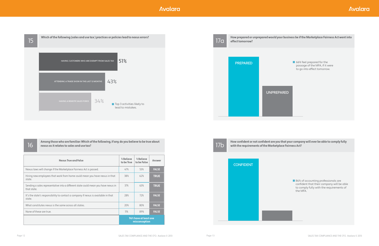| Nexus True and False                                                                              | % Believe<br>to be True                | % Believe<br>to be False | Answer       |
|---------------------------------------------------------------------------------------------------|----------------------------------------|--------------------------|--------------|
| Nexus laws will change if the Marketplace Fairness Act is passed.                                 | 47%                                    | 53%                      | <b>FALSE</b> |
| Hiring new employees that work from home could mean you have nexus in that<br>state.              | 38%                                    | 62%                      | <b>TRUE</b>  |
| Sending a sales representative into a different state could mean you have nexus in<br>that state. | 37%                                    | 63%                      | <b>TRUE</b>  |
| It's the state's responsibility to contact a company if nexus is available in that<br>state.      | 28%                                    | 72%                      | <b>FALSE</b> |
| What constitutes nexus is the same across all states.                                             | 20%                                    | 80%                      | <b>FALSE</b> |
| None of these are true.                                                                           | 11%                                    | 89%                      | <b>FALSE</b> |
|                                                                                                   | 96% have at least one<br>misconception |                          |              |





86% of accounting professionals are confident that their company will be able to comply fully with the requirements of the MFA.



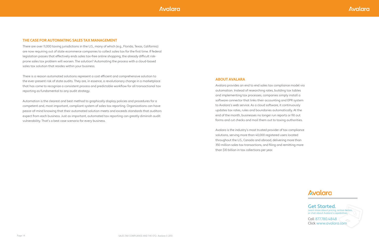Call 877.780.4848 Click www.avalara.com

#### Get Started. Learn more about pricing, online demos, or chat about Avalara's capabilities.

#### **THE CASE FOR AUTOMATING SALES TAX MANAGEMENT**

There are over 11,000 taxing jurisdictions in the U.S., many of which (e.g., Florida, Texas, California) are now requiring out of state ecommerce companies to collect sales tax for the first time. If federal legislation passes that effectively ends sales tax-free online shopping, the already difficult riskprone sales tax problem will worsen. The solution? Automating the process with a cloud-based sales tax solution that resides within your business.

There is a reason automated solutions represent a cost efficient and comprehensive solution to the ever-present risk of state audits. They are, in essence, a revolutionary change in a marketplace that has come to recognize a consistent process and predictable workflow for all transactional tax reporting as fundamental to any audit strategy.

Automation is the clearest and best method to graphically display policies and procedures for a competent and, most important, compliant system of sales tax reporting. Organizations can have peace-of-mind knowing that their automated solution meets and exceeds standards that auditors expect from each business. Just as important, automated tax reporting can greatly diminish audit vulnerability. That's a best case scenario for every business.

#### **ABOUT AVALARA**

Avalara provides an end to end sales tax compliance model via automation. Instead of researching rates, building tax tables and implementing tax processes, companies simply install a software connector that links their accounting and EPR system to Avalara's web service. As a cloud software, it continuously updates tax rates, rules and boundaries automatically. At the end of the month, businesses no longer run reports or fill out forms and cut checks and mail them out to taxing authorities.

Avalara is the industry's most trusted provider of tax compliance solutions, serving more than 40,000 registered users located throughout the U.S., Canada and abroad, delivering more than 350 million sales tax transactions, and filing and remitting more than \$10 billion in tax collections per year.